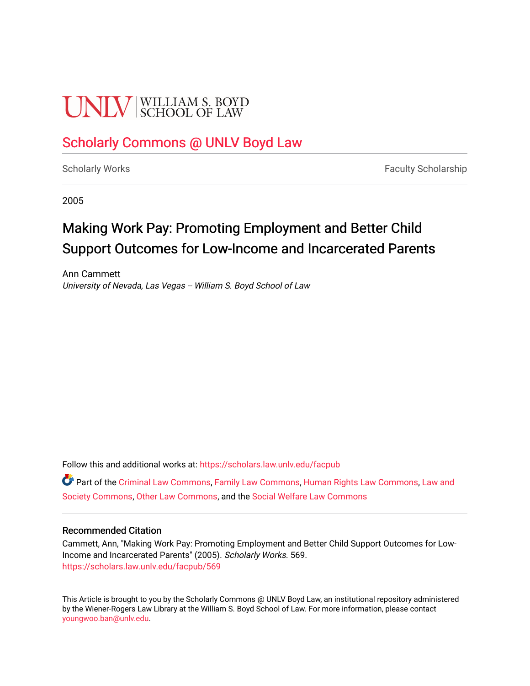# **UNIV** SCHOOL OF LAW

# [Scholarly Commons @ UNLV Boyd Law](https://scholars.law.unlv.edu/)

[Scholarly Works](https://scholars.law.unlv.edu/facpub) **Faculty Scholarship** Faculty Scholarship

2005

# Making Work Pay: Promoting Employment and Better Child Support Outcomes for Low-Income and Incarcerated Parents

Ann Cammett University of Nevada, Las Vegas -- William S. Boyd School of Law

Follow this and additional works at: [https://scholars.law.unlv.edu/facpub](https://scholars.law.unlv.edu/facpub?utm_source=scholars.law.unlv.edu%2Ffacpub%2F569&utm_medium=PDF&utm_campaign=PDFCoverPages)

Part of the [Criminal Law Commons,](http://network.bepress.com/hgg/discipline/912?utm_source=scholars.law.unlv.edu%2Ffacpub%2F569&utm_medium=PDF&utm_campaign=PDFCoverPages) [Family Law Commons,](http://network.bepress.com/hgg/discipline/602?utm_source=scholars.law.unlv.edu%2Ffacpub%2F569&utm_medium=PDF&utm_campaign=PDFCoverPages) [Human Rights Law Commons](http://network.bepress.com/hgg/discipline/847?utm_source=scholars.law.unlv.edu%2Ffacpub%2F569&utm_medium=PDF&utm_campaign=PDFCoverPages), [Law and](http://network.bepress.com/hgg/discipline/853?utm_source=scholars.law.unlv.edu%2Ffacpub%2F569&utm_medium=PDF&utm_campaign=PDFCoverPages) [Society Commons](http://network.bepress.com/hgg/discipline/853?utm_source=scholars.law.unlv.edu%2Ffacpub%2F569&utm_medium=PDF&utm_campaign=PDFCoverPages), [Other Law Commons](http://network.bepress.com/hgg/discipline/621?utm_source=scholars.law.unlv.edu%2Ffacpub%2F569&utm_medium=PDF&utm_campaign=PDFCoverPages), and the [Social Welfare Law Commons](http://network.bepress.com/hgg/discipline/878?utm_source=scholars.law.unlv.edu%2Ffacpub%2F569&utm_medium=PDF&utm_campaign=PDFCoverPages)

#### Recommended Citation

Cammett, Ann, "Making Work Pay: Promoting Employment and Better Child Support Outcomes for Low-Income and Incarcerated Parents" (2005). Scholarly Works. 569. [https://scholars.law.unlv.edu/facpub/569](https://scholars.law.unlv.edu/facpub/569?utm_source=scholars.law.unlv.edu%2Ffacpub%2F569&utm_medium=PDF&utm_campaign=PDFCoverPages)

This Article is brought to you by the Scholarly Commons @ UNLV Boyd Law, an institutional repository administered by the Wiener-Rogers Law Library at the William S. Boyd School of Law. For more information, please contact [youngwoo.ban@unlv.edu.](mailto:youngwoo.ban@unlv.edu)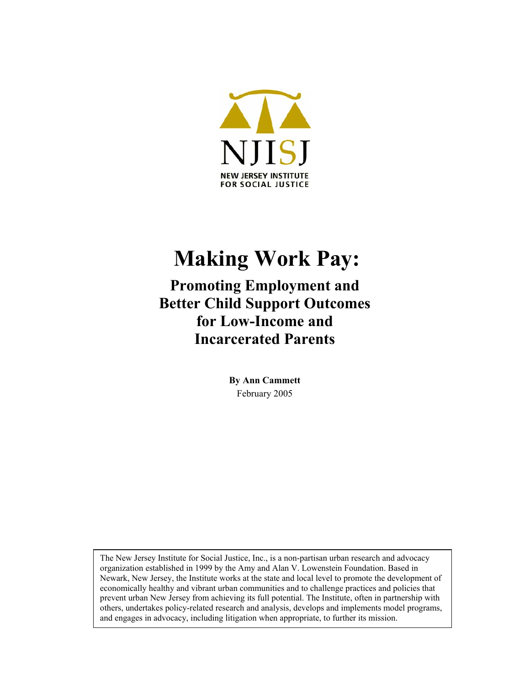

# **Making Work Pay:**

**Promoting Employment and Better Child Support Outcomes for Low-Income and Incarcerated Parents** 

> **By Ann Cammett**  February 2005

The New Jersey Institute for Social Justice, Inc., is a non-partisan urban research and advocacy organization established in 1999 by the Amy and Alan V. Lowenstein Foundation. Based in Newark, New Jersey, the Institute works at the state and local level to promote the development of economically healthy and vibrant urban communities and to challenge practices and policies that prevent urban New Jersey from achieving its full potential. The Institute, often in partnership with others, undertakes policy-related research and analysis, develops and implements model programs, and engages in advocacy, including litigation when appropriate, to further its mission.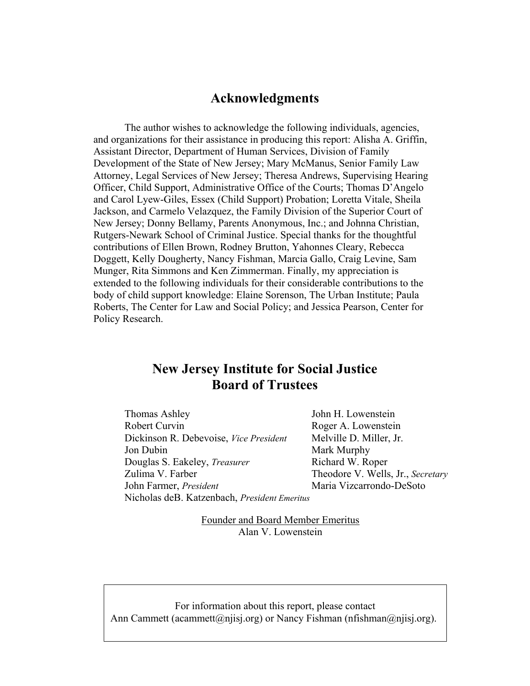# **Acknowledgments**

The author wishes to acknowledge the following individuals, agencies, and organizations for their assistance in producing this report: Alisha A. Griffin, Assistant Director, Department of Human Services, Division of Family Development of the State of New Jersey; Mary McManus, Senior Family Law Attorney, Legal Services of New Jersey; Theresa Andrews, Supervising Hearing Officer, Child Support, Administrative Office of the Courts; Thomas D'Angelo and Carol Lyew-Giles, Essex (Child Support) Probation; Loretta Vitale, Sheila Jackson, and Carmelo Velazquez, the Family Division of the Superior Court of New Jersey; Donny Bellamy, Parents Anonymous, Inc.; and Johnna Christian, Rutgers-Newark School of Criminal Justice. Special thanks for the thoughtful contributions of Ellen Brown, Rodney Brutton, Yahonnes Cleary, Rebecca Doggett, Kelly Dougherty, Nancy Fishman, Marcia Gallo, Craig Levine, Sam Munger, Rita Simmons and Ken Zimmerman. Finally, my appreciation is extended to the following individuals for their considerable contributions to the body of child support knowledge: Elaine Sorenson, The Urban Institute; Paula Roberts, The Center for Law and Social Policy; and Jessica Pearson, Center for Policy Research.

# **New Jersey Institute for Social Justice Board of Trustees**

Thomas Ashley John H. Lowenstein Robert Curvin Roger A. Lowenstein Dickinson R. Debevoise, *Vice President* Melville D. Miller, Jr. Jon Dubin Mark Murphy Douglas S. Eakeley, *Treasurer* Richard W. Roper Zulima V. Farber Theodore V. Wells, Jr., *Secretary* John Farmer, *President* Maria Vizcarrondo-DeSoto Nicholas deB. Katzenbach, *President Emeritus*

Founder and Board Member Emeritus Alan V. Lowenstein

For information about this report, please contact Ann Cammett [\(acammett@njisj.org\)](mailto:acammett@njisj.org) or Nancy Fishman (nfishman@njisj.org).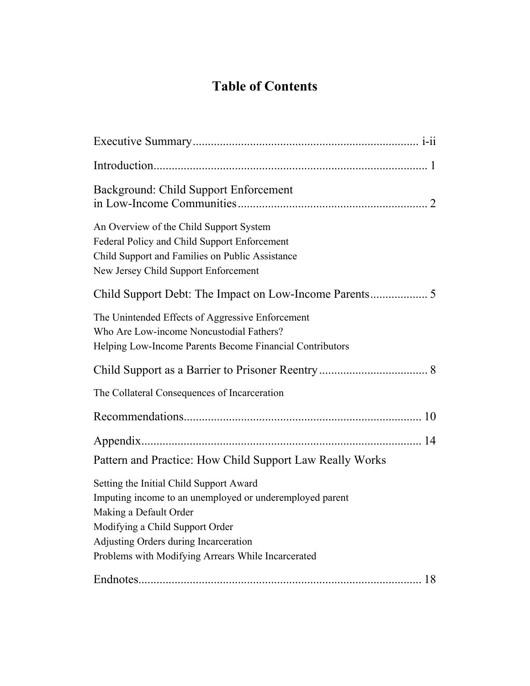# **Table of Contents**

| Background: Child Support Enforcement                                                                                                                                                                                                                           |
|-----------------------------------------------------------------------------------------------------------------------------------------------------------------------------------------------------------------------------------------------------------------|
| An Overview of the Child Support System<br>Federal Policy and Child Support Enforcement<br>Child Support and Families on Public Assistance<br>New Jersey Child Support Enforcement                                                                              |
|                                                                                                                                                                                                                                                                 |
| The Unintended Effects of Aggressive Enforcement<br>Who Are Low-income Noncustodial Fathers?<br>Helping Low-Income Parents Become Financial Contributors                                                                                                        |
|                                                                                                                                                                                                                                                                 |
| The Collateral Consequences of Incarceration                                                                                                                                                                                                                    |
|                                                                                                                                                                                                                                                                 |
| Pattern and Practice: How Child Support Law Really Works                                                                                                                                                                                                        |
| Setting the Initial Child Support Award<br>Imputing income to an unemployed or underemployed parent<br>Making a Default Order<br>Modifying a Child Support Order<br>Adjusting Orders during Incarceration<br>Problems with Modifying Arrears While Incarcerated |
| 18                                                                                                                                                                                                                                                              |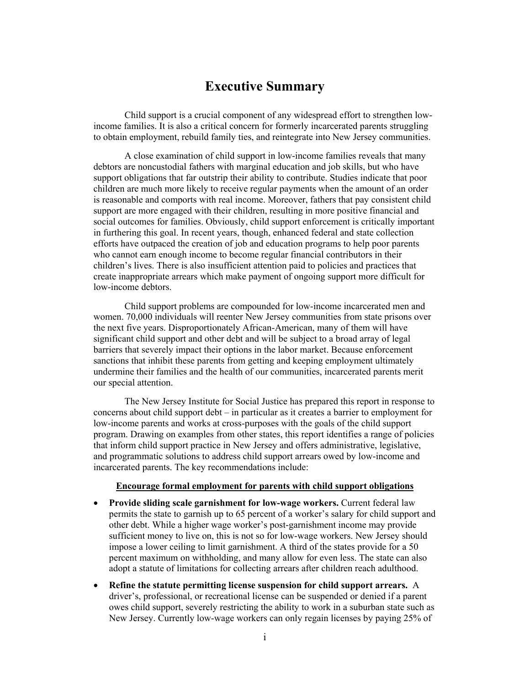# **Executive Summary**

<span id="page-4-0"></span>Child support is a crucial component of any widespread effort to strengthen lowincome families. It is also a critical concern for formerly incarcerated parents struggling to obtain employment, rebuild family ties, and reintegrate into New Jersey communities.

A close examination of child support in low-income families reveals that many debtors are noncustodial fathers with marginal education and job skills, but who have support obligations that far outstrip their ability to contribute. Studies indicate that poor children are much more likely to receive regular payments when the amount of an order is reasonable and comports with real income. Moreover, fathers that pay consistent child support are more engaged with their children, resulting in more positive financial and social outcomes for families. Obviously, child support enforcement is critically important in furthering this goal. In recent years, though, enhanced federal and state collection efforts have outpaced the creation of job and education programs to help poor parents who cannot earn enough income to become regular financial contributors in their children's lives. There is also insufficient attention paid to policies and practices that create inappropriate arrears which make payment of ongoing support more difficult for low-income debtors.

Child support problems are compounded for low-income incarcerated men and women. 70,000 individuals will reenter New Jersey communities from state prisons over the next five years. Disproportionately African-American, many of them will have significant child support and other debt and will be subject to a broad array of legal barriers that severely impact their options in the labor market. Because enforcement sanctions that inhibit these parents from getting and keeping employment ultimately undermine their families and the health of our communities, incarcerated parents merit our special attention.

The New Jersey Institute for Social Justice has prepared this report in response to concerns about child support debt  $-$  in particular as it creates a barrier to employment for low-income parents and works at cross-purposes with the goals of the child support program. Drawing on examples from other states, this report identifies a range of policies that inform child support practice in New Jersey and offers administrative, legislative, and programmatic solutions to address child support arrears owed by low-income and incarcerated parents. The key recommendations include:

#### **Encourage formal employment for parents with child support obligations**

- **Provide sliding scale garnishment for low-wage workers.** Current federal law permits the state to garnish up to 65 percent of a worker's salary for child support and other debt. While a higher wage worker's post-garnishment income may provide sufficient money to live on, this is not so for low-wage workers. New Jersey should impose a lower ceiling to limit garnishment. A third of the states provide for a 50 percent maximum on withholding, and many allow for even less. The state can also adopt a statute of limitations for collecting arrears after children reach adulthood.
- x **Refine the statute permitting license suspension for child support arrears.** A driver's, professional, or recreational license can be suspended or denied if a parent owes child support, severely restricting the ability to work in a suburban state such as New Jersey. Currently low-wage workers can only regain licenses by paying 25% of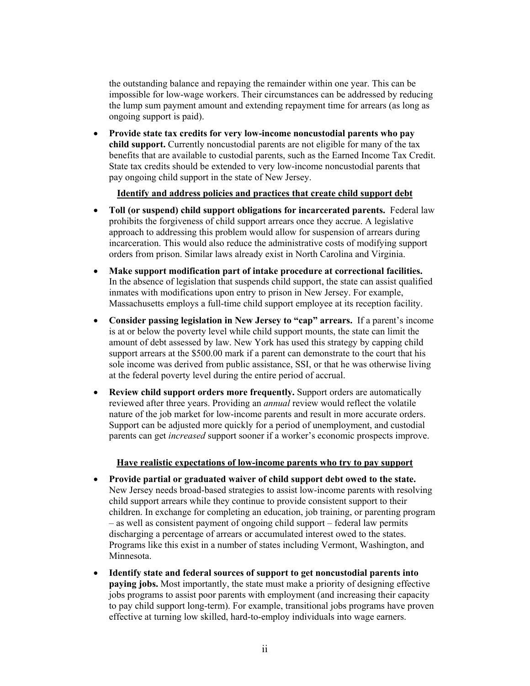the outstanding balance and repaying the remainder within one year. This can be impossible for low-wage workers. Their circumstances can be addressed by reducing the lump sum payment amount and extending repayment time for arrears (as long as ongoing support is paid).

**•** Provide state tax credits for very low-income noncustodial parents who pay **child support.** Currently noncustodial parents are not eligible for many of the tax benefits that are available to custodial parents, such as the Earned Income Tax Credit. State tax credits should be extended to very low-income noncustodial parents that pay ongoing child support in the state of New Jersey.

#### **Identify and address policies and practices that create child support debt**

- Toll (or suspend) child support obligations for incarcerated parents. Federal law prohibits the forgiveness of child support arrears once they accrue. A legislative approach to addressing this problem would allow for suspension of arrears during incarceration. This would also reduce the administrative costs of modifying support orders from prison. Similar laws already exist in North Carolina and Virginia.
- x **Make support modification part of intake procedure at correctional facilities.** In the absence of legislation that suspends child support, the state can assist qualified inmates with modifications upon entry to prison in New Jersey. For example, Massachusetts employs a full-time child support employee at its reception facility.
- Consider passing legislation in New Jersey to "cap" arrears. If a parent's income is at or below the poverty level while child support mounts, the state can limit the amount of debt assessed by law. New York has used this strategy by capping child support arrears at the \$500.00 mark if a parent can demonstrate to the court that his sole income was derived from public assistance, SSI, or that he was otherwise living at the federal poverty level during the entire period of accrual.
- **Review child support orders more frequently.** Support orders are automatically reviewed after three years. Providing an *annual* review would reflect the volatile nature of the job market for low-income parents and result in more accurate orders. Support can be adjusted more quickly for a period of unemployment, and custodial parents can get *increased* support sooner if a worker's economic prospects improve.

#### **Have realistic expectations of low-income parents who try to pay support**

- x **Provide partial or graduated waiver of child support debt owed to the state.** New Jersey needs broad-based strategies to assist low-income parents with resolving child support arrears while they continue to provide consistent support to their children. In exchange for completing an education, job training, or parenting program  $f -$  as well as consistent payment of ongoing child support  $f -$  federal law permits discharging a percentage of arrears or accumulated interest owed to the states. Programs like this exist in a number of states including Vermont, Washington, and Minnesota.
- x **Identify state and federal sources of support to get noncustodial parents into paying jobs.** Most importantly, the state must make a priority of designing effective jobs programs to assist poor parents with employment (and increasing their capacity to pay child support long-term). For example, transitional jobs programs have proven effective at turning low skilled, hard-to-employ individuals into wage earners.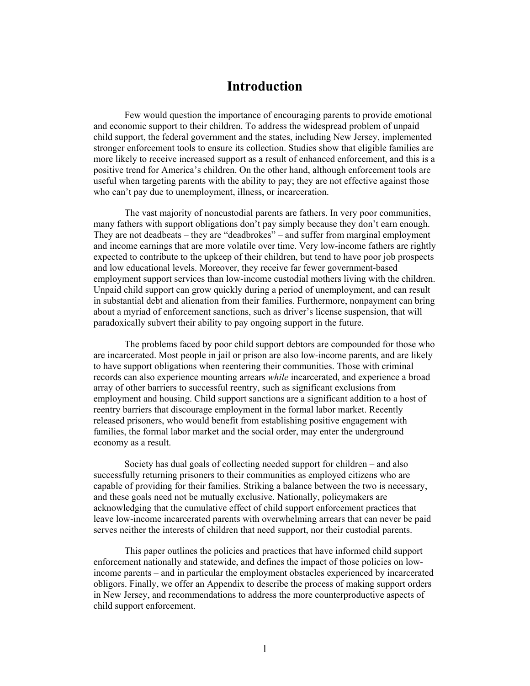### **Introduction**

<span id="page-6-0"></span>Few would question the importance of encouraging parents to provide emotional and economic support to their children. To address the widespread problem of unpaid child support, the federal government and the states, including New Jersey, implemented stronger enforcement tools to ensure its collection. Studies show that eligible families are more likely to receive increased support as a result of enhanced enforcement, and this is a positive trend for America's children. On the other hand, although enforcement tools are useful when targeting parents with the ability to pay; they are not effective against those who can't pay due to unemployment, illness, or incarceration.

The vast majority of noncustodial parents are fathers. In very poor communities, many fathers with support obligations don't pay simply because they don't earn enough. They are not deadbeats  $-$  they are "deadbrokes"  $-$  and suffer from marginal employment and income earnings that are more volatile over time. Very low-income fathers are rightly expected to contribute to the upkeep of their children, but tend to have poor job prospects and low educational levels. Moreover, they receive far fewer government-based employment support services than low-income custodial mothers living with the children. Unpaid child support can grow quickly during a period of unemployment, and can result in substantial debt and alienation from their families. Furthermore, nonpayment can bring about a myriad of enforcement sanctions, such as driver's license suspension, that will paradoxically subvert their ability to pay ongoing support in the future.

The problems faced by poor child support debtors are compounded for those who are incarcerated. Most people in jail or prison are also low-income parents, and are likely to have support obligations when reentering their communities. Those with criminal records can also experience mounting arrears *while* incarcerated, and experience a broad array of other barriers to successful reentry, such as significant exclusions from employment and housing. Child support sanctions are a significant addition to a host of reentry barriers that discourage employment in the formal labor market. Recently released prisoners, who would benefit from establishing positive engagement with families, the formal labor market and the social order, may enter the underground economy as a result.

Society has dual goals of collecting needed support for children  $-$  and also successfully returning prisoners to their communities as employed citizens who are capable of providing for their families. Striking a balance between the two is necessary, and these goals need not be mutually exclusive. Nationally, policymakers are acknowledging that the cumulative effect of child support enforcement practices that leave low-income incarcerated parents with overwhelming arrears that can never be paid serves neither the interests of children that need support, nor their custodial parents.

This paper outlines the policies and practices that have informed child support enforcement nationally and statewide, and defines the impact of those policies on lowincome parents – and in particular the employment obstacles experienced by incarcerated obligors. Finally, we offer an Appendix to describe the process of making support orders in New Jersey, and recommendations to address the more counterproductive aspects of child support enforcement.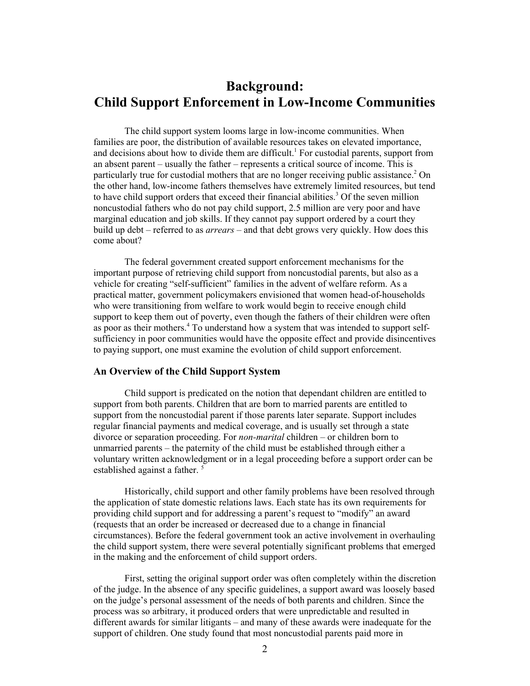# <span id="page-7-0"></span>**Background: Child Support Enforcement in Low-Income Communities**

The child support system looms large in low-income communities. When families are poor, the distribution of available resources takes on elevated importance, and decisions about how to divide them are difficult.<sup>[1](#page-28-0)</sup> For custodial parents, support from an absent parent – usually the father – represents a critical source of income. This is particularly true for custodial mothers that are no longer receiving public assistance.<sup>[2](#page-28-1)</sup> On the other hand, low-income fathers themselves have extremely limited resources, but tend to have child support orders that exceed their financial abilities.<sup>[3](#page-28-2)</sup> Of the seven million noncustodial fathers who do not pay child support, 2.5 million are very poor and have marginal education and job skills. If they cannot pay support ordered by a court they build up debt – referred to as *arrears* – and that debt grows very quickly. How does this come about?

The federal government created support enforcement mechanisms for the important purpose of retrieving child support from noncustodial parents, but also as a vehicle for creating "self-sufficient" families in the advent of welfare reform. As a practical matter, government policymakers envisioned that women head-of-households who were transitioning from welfare to work would begin to receive enough child support to keep them out of poverty, even though the fathers of their children were often as poor as their mothers.<sup>[4](#page-28-3)</sup> To understand how a system that was intended to support selfsufficiency in poor communities would have the opposite effect and provide disincentives to paying support, one must examine the evolution of child support enforcement.

#### **An Overview of the Child Support System**

Child support is predicated on the notion that dependant children are entitled to support from both parents. Children that are born to married parents are entitled to support from the noncustodial parent if those parents later separate. Support includes regular financial payments and medical coverage, and is usually set through a state divorce or separation proceeding. For *non-marital* children – or children born to unmarried parents  $-$  the paternity of the child must be established through either a voluntary written acknowledgment or in a legal proceeding before a support order can be established against a father.<sup>[5](#page-28-4)</sup>

Historically, child support and other family problems have been resolved through the application of state domestic relations laws. Each state has its own requirements for providing child support and for addressing a parent's request to "modify" an award (requests that an order be increased or decreased due to a change in financial circumstances). Before the federal government took an active involvement in overhauling the child support system, there were several potentially significant problems that emerged in the making and the enforcement of child support orders.

First, setting the original support order was often completely within the discretion of the judge. In the absence of any specific guidelines, a support award was loosely based on the judge's personal assessment of the needs of both parents and children. Since the process was so arbitrary, it produced orders that were unpredictable and resulted in different awards for similar litigants – and many of these awards were inadequate for the support of children. One study found that most noncustodial parents paid more in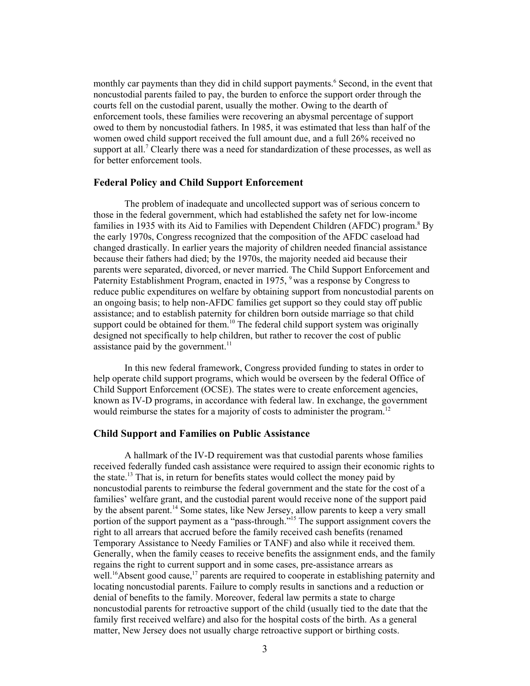monthly car payments than they did in child support payments.<sup>[6](#page-28-5)</sup> Second, in the event that noncustodial parents failed to pay, the burden to enforce the support order through the courts fell on the custodial parent, usually the mother. Owing to the dearth of enforcement tools, these families were recovering an abysmal percentage of support owed to them by noncustodial fathers. In 1985, it was estimated that less than half of the women owed child support received the full amount due, and a full 26% received no support at all.<sup>7</sup> Clearly there was a need for standardization of these processes, as well as for better enforcement tools.

#### **Federal Policy and Child Support Enforcement**

The problem of inadequate and uncollected support was of serious concern to those in the federal government, which had established the safety net for low-income familiesin 1935 with its Aid to Families with Dependent Children (AFDC) program.<sup>8</sup> By the early 1970s, Congress recognized that the composition of the AFDC caseload had changed drastically. In earlier years the majority of children needed financial assistance because their fathers had died; by the 1970s, the majority needed aid because their parents were separated, divorced, or never married. The Child Support Enforcement and Paternity Establishment Program, enacted in 1975, <sup>9</sup> was a response by Congress to reduce public expenditures on welfare by obtaining support from noncustodial parents on an ongoing basis; to help non-AFDC families get support so they could stay off public assistance; and to establish paternity for children born outside marriage so that child support could be obtained for them.<sup>10</sup> The federal child support system was originally designed not specifically to help children, but rather to recover the cost of public assistance paid by the government. $^{11}$ 

In this new federal framework, Congress provided funding to states in order to help operate child support programs, which would be overseen by the federal Office of Child Support Enforcement (OCSE). The states were to create enforcement agencies, known as IV-D programs, in accordance with federal law. In exchange, the government would reimburse the states for a majority of costs to administer the program.<sup>12</sup>

#### **Child Support and Families on Public Assistance**

A hallmark of the IV-D requirement was that custodial parents whose families received federally funded cash assistance were required to assign their economic rights to the state.<sup>13</sup> That is, in return for benefits states would collect the money paid by noncustodial parents to reimburse the federal government and the state for the cost of a families' welfare grant, and the custodial parent would receive none of the support paid by the absent parent.<sup>14</sup> Some states, like New Jersey, allow parents to keep a very small portion of the support payment as a "pass-through."<sup>15</sup> The support assignment covers the right to all arrears that accrued before the family received cash benefits (renamed Temporary Assistance to Needy Families or TANF) and also while it received them. Generally, when the family ceases to receive benefits the assignment ends, and the family regains the right to current support and in some cases, pre-assistance arrears as well.<sup>16</sup>Absent good cause,<sup>17</sup> parents are required to cooperate in establishing paternity and locating noncustodial parents. Failure to comply results in sanctions and a reduction or denial of benefits to the family. Moreover, federal law permits a state to charge noncustodial parents for retroactive support of the child (usually tied to the date that the family first received welfare) and also for the hospital costs of the birth. As a general matter, New Jersey does not usually charge retroactive support or birthing costs.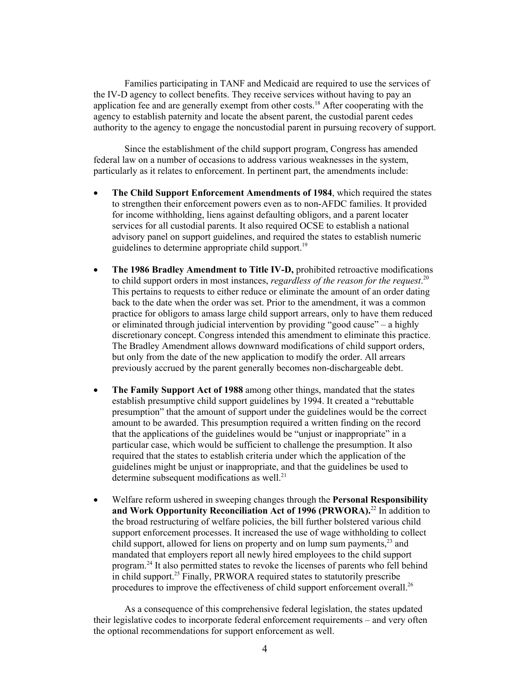Families participating in TANF and Medicaid are required to use the services of the IV-D agency to collect benefits. They receive services without having to pay an application fee and are generally exempt from other costs.<sup>18</sup> After cooperating with the agency to establish paternity and locate the absent parent, the custodial parent cedes authority to the agency to engage the noncustodial parent in pursuing recovery of support.

Since the establishment of the child support program, Congress has amended federal law on a number of occasions to address various weaknesses in the system, particularly as it relates to enforcement. In pertinent part, the amendments include:

- The Child Support Enforcement Amendments of 1984, which required the states to strengthen their enforcement powers even as to non-AFDC families. It provided for income withholding, liens against defaulting obligors, and a parent locater services for all custodial parents. It also required OCSE to establish a national advisory panel on support guidelines, and required the states to establish numeric guidelines to determine appropriate child support.<sup>[19](#page-28-18)</sup>
- The 1986 Bradley Amendment to Title IV-D, prohibited retroactive modifications to child support orders in most instances, *regardless of the reason for the request*. [20](#page-28-19) This pertains to requests to either reduce or eliminate the amount of an order dating back to the date when the order was set. Prior to the amendment, it was a common practice for obligors to amass large child support arrears, only to have them reduced or eliminated through judicial intervention by providing "good cause" – a highly discretionary concept. Congress intended this amendment to eliminate this practice. The Bradley Amendment allows downward modifications of child support orders, but only from the date of the new application to modify the order. All arrears previously accrued by the parent generally becomes non-dischargeable debt.
- The Family Support Act of 1988 among other things, mandated that the states establish presumptive child support guidelines by 1994. It created a "rebuttable" presumption" that the amount of support under the guidelines would be the correct amount to be awarded. This presumption required a written finding on the record that the applications of the guidelines would be "unjust or inappropriate" in a particular case, which would be sufficient to challenge the presumption. It also required that the states to establish criteria under which the application of the guidelines might be unjust or inappropriate, and that the guidelines be used to determine subsequent modifications as well.<sup>[21](#page-28-20)</sup>
- x Welfare reform ushered in sweeping changes through the **Personal Responsibility and Work Opportunity Reconciliation Act of 1996 (PRWORA).**[22 I](#page-28-21)n addition to the broad restructuring of welfare policies, the bill further bolstered various child support enforcement processes. It increased the use of wage withholding to collect child support, allowed for liens on property and on lump sum payments, $^{23}$  and mandated that employers report all newly hired employees to the child support program.<sup>24</sup> It also permitted states to revoke the licenses of parents who fell behind in child support.<sup>25</sup> Finally, PRWORA required states to statutorily prescribe procedures to improve the effectiveness of child support enforcement overall.[26](#page-28-25)

As a consequence of this comprehensive federal legislation, the states updated their legislative codes to incorporate federal enforcement requirements – and very often the optional recommendations for support enforcement as well.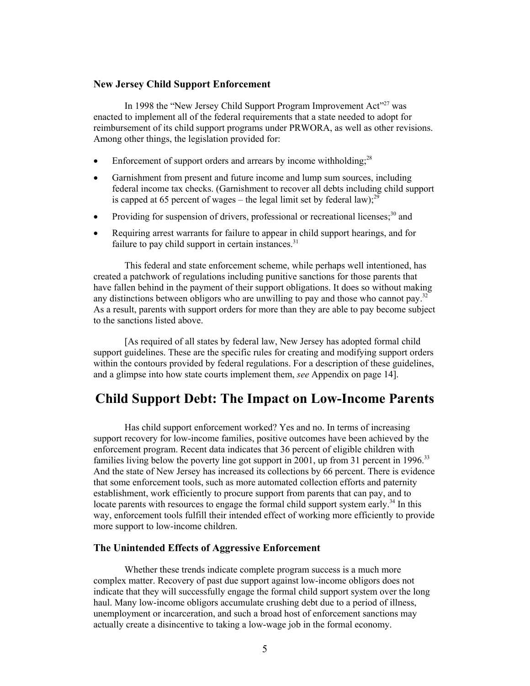#### **New Jersey Child Support Enforcement**

In 1998 the "New Jersey Child Support Program Improvement Act"<sup>27</sup> was enacted to implement all of the federal requirements that a state needed to adopt for reimbursement of its child support programs under PRWORA, as well as other revisions. Among other things, the legislation provided for:

- <span id="page-10-0"></span>• Enforcement of support orders and arrears by income withholding; $^{28}$
- Garnishment from present and future income and lump sum sources, including federal income tax checks. (Garnishment to recover all debts including child support is capped at 65 percent of wages – the legal limit set by federal law);<sup>29</sup>
- Providing for suspension of drivers, professional or recreational licenses;<sup>30</sup> and
- Requiring arrest warrants for failure to appear in child support hearings, and for failure to pay child support in certain instances. $31$

This federal and state enforcement scheme, while perhaps well intentioned, has created a patchwork of regulations including punitive sanctions for those parents that have fallen behind in the payment of their support obligations. It does so without making any distinctions between obligors who are unwilling to pay and those who cannot pay.<sup>[32](#page-28-31)</sup> As a result, parents with support orders for more than they are able to pay become subject to the sanctions listed above.

[As required of all states by federal law, New Jersey has adopted formal child support guidelines. These are the specific rules for creating and modifying support orders within the contours provided by federal regulations. For a description of these guidelines, and a glimpse into how state courts implement them, *see* Appendix on page 14].

# **Child Support Debt: The Impact on Low-Income Parents**

Has child support enforcement worked? Yes and no. In terms of increasing support recovery for low-income families, positive outcomes have been achieved by the enforcement program. Recent data indicates that 36 percent of eligible children with families living below the poverty line got support in 2001, up from 31 percent in 1996.<sup>[33](#page-28-32)</sup> And the state of New Jersey has increased its collections by 66 percent. There is evidence that some enforcement tools, such as more automated collection efforts and paternity establishment, work efficiently to procure support from parents that can pay, and to locate parents with resources to engage the formal child support system early.<sup>34</sup> In this way, enforcement tools fulfill their intended effect of working more efficiently to provide more support to low-income children.

#### **The Unintended Effects of Aggressive Enforcement**

Whether these trends indicate complete program success is a much more complex matter. Recovery of past due support against low-income obligors does not indicate that they will successfully engage the formal child support system over the long haul. Many low-income obligors accumulate crushing debt due to a period of illness, unemployment or incarceration, and such a broad host of enforcement sanctions may actually create a disincentive to taking a low-wage job in the formal economy.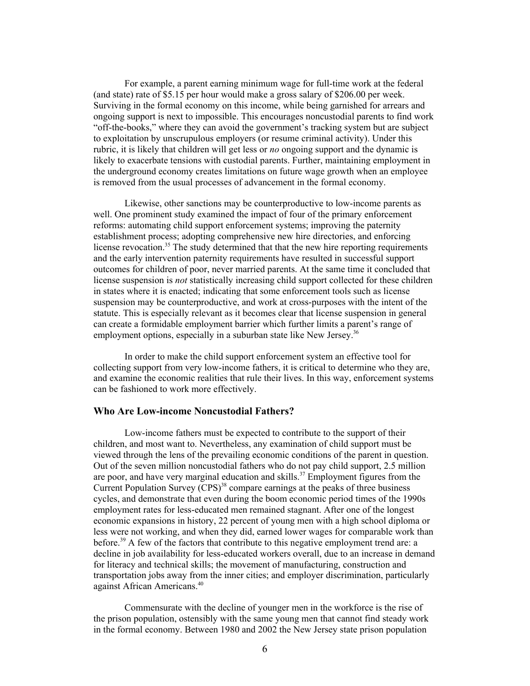For example, a parent earning minimum wage for full-time work at the federal (and state) rate of \$5.15 per hour would make a gross salary of \$206.00 per week. Surviving in the formal economy on this income, while being garnished for arrears and ongoing support is next to impossible. This encourages noncustodial parents to find work "off-the-books," where they can avoid the government's tracking system but are subject to exploitation by unscrupulous employers (or resume criminal activity). Under this rubric, it is likely that children will get less or *no* ongoing support and the dynamic is likely to exacerbate tensions with custodial parents. Further, maintaining employment in the underground economy creates limitations on future wage growth when an employee is removed from the usual processes of advancement in the formal economy.

Likewise, other sanctions may be counterproductive to low-income parents as well. One prominent study examined the impact of four of the primary enforcement reforms: automating child support enforcement systems; improving the paternity establishment process; adopting comprehensive new hire directories, and enforcing license revocation.<sup>35</sup> The study determined that that the new hire reporting requirements and the early intervention paternity requirements have resulted in successful support outcomes for children of poor, never married parents. At the same time it concluded that license suspension is *not* statistically increasing child support collected for these children in states where it is enacted; indicating that some enforcement tools such as license suspension may be counterproductive, and work at cross-purposes with the intent of the statute. This is especially relevant as it becomes clear that license suspension in general can create a formidable employment barrier which further limits a parent's range of employment options, especially in a suburban state like New Jersey.<sup>[36](#page-28-35)</sup>

In order to make the child support enforcement system an effective tool for collecting support from very low-income fathers, it is critical to determine who they are, and examine the economic realities that rule their lives. In this way, enforcement systems can be fashioned to work more effectively.

#### **Who Are Low-income Noncustodial Fathers?**

Low-income fathers must be expected to contribute to the support of their children, and most want to. Nevertheless, any examination of child support must be viewed through the lens of the prevailing economic conditions of the parent in question. Out of the seven million noncustodial fathers who do not pay child support, 2.5 million are poor, and have very marginal education and skills.<sup>[37](#page-28-36)</sup> Employment figures from the Current Population Survey  $(CPS)^{38}$  compare earnings at the peaks of three business cycles, and demonstrate that even during the boom economic period times of the 1990s employment rates for less-educated men remained stagnant. After one of the longest economic expansions in history, 22 percent of young men with a high school diploma or less were not working, and when they did, earned lower wages for comparable work than before.<sup>39</sup> A few of the factors that contribute to this negative employment trend are: a decline in job availability for less-educated workers overall, due to an increase in demand for literacy and technical skills; the movement of manufacturing, construction and transportation jobs away from the inner cities; and employer discrimination, particularly against African Americans. [40](#page-28-39)

Commensurate with the decline of younger men in the workforce is the rise of the prison population, ostensibly with the same young men that cannot find steady work in the formal economy. Between 1980 and 2002 the New Jersey state prison population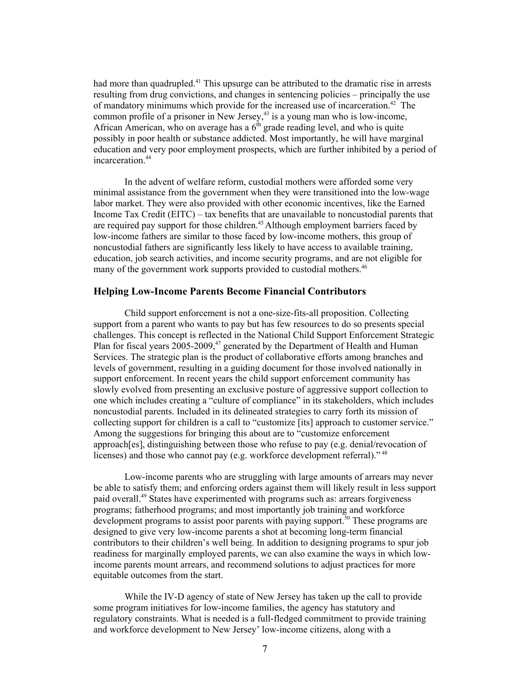had more than quadrupled.<sup>41</sup> This upsurge can be attributed to the dramatic rise in arrests resulting from drug convictions, and changes in sentencing policies – principally the use of mandatory minimums which provide for the increased use of incarceration.<sup>42</sup> The common profile of a prisoner in New Jersey, [43 i](#page-28-42)s a young man who is low-income, African American, who on average has a  $6<sup>th</sup>$  grade reading level, and who is quite possibly in poor health or substance addicted. Most importantly, he will have marginal education and very poor employment prospects, which are further inhibited by a period of incarceration.<sup>44</sup>

In the advent of welfare reform, custodial mothers were afforded some very minimal assistance from the government when they were transitioned into the low-wage labor market. They were also provided with other economic incentives, like the Earned Income Tax Credit (EITC) – tax benefits that are unavailable to noncustodial parents that are required pay support for those children.<sup>45</sup> Although employment barriers faced by low-income fathers are similar to those faced by low-income mothers, this group of noncustodial fathers are significantly less likely to have access to available training, education, job search activities, and income security programs, and are not eligible for many of the government work supports provided to custodial mothers.<sup>46</sup>

#### **Helping Low-Income Parents Become Financial Contributors**

Child support enforcement is not a one-size-fits-all proposition. Collecting support from a parent who wants to pay but has few resources to do so presents special challenges. This concept is reflected in the National Child Support Enforcement Strategic Plan for fiscal years  $2005$ -2009,<sup>47</sup> generated by the Department of Health and Human Services. The strategic plan is the product of collaborative efforts among branches and levels of government, resulting in a guiding document for those involved nationally in support enforcement. In recent years the child support enforcement community has slowly evolved from presenting an exclusive posture of aggressive support collection to one which includes creating a "culture of compliance" in its stakeholders, which includes noncustodial parents. Included in its delineated strategies to carry forth its mission of collecting support for children is a call to "customize [its] approach to customer service." Among the suggestions for bringing this about are to "customize enforcement" approach[es], distinguishing between those who refuse to pay (e.g. denial/revocation of licenses) and those who cannot pay (e.g. workforce development referral).<sup> $48$ </sup>

Low-income parents who are struggling with large amounts of arrears may never be able to satisfy them; and enforcing orders against them will likely result in less support paid overall[.49](#page-28-48) States have experimented with programs such as: arrears forgiveness programs; fatherhood programs; and most importantly job training and workforce development programs to assist poor parents with paying support.<sup>50</sup> These programs are designed to give very low-income parents a shot at becoming long-term financial contributors to their children's well being. In addition to designing programs to spur job readiness for marginally employed parents, we can also examine the ways in which lowincome parents mount arrears, and recommend solutions to adjust practices for more equitable outcomes from the start.

While the IV-D agency of state of New Jersey has taken up the call to provide some program initiatives for low-income families, the agency has statutory and regulatory constraints. What is needed is a full-fledged commitment to provide training and workforce development to New Jersey' low-income citizens, along with a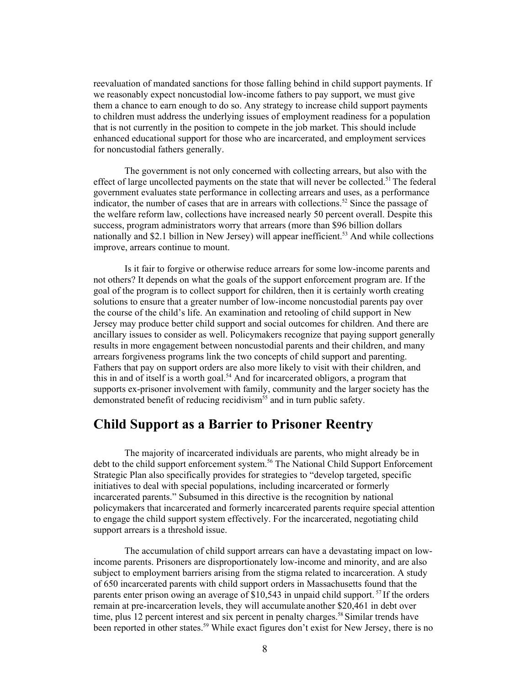reevaluation of mandated sanctions for those falling behind in child support payments. If we reasonably expect noncustodial low-income fathers to pay support, we must give them a chance to earn enough to do so. Any strategy to increase child support payments to children must address the underlying issues of employment readiness for a population that is not currently in the position to compete in the job market. This should include enhanced educational support for those who are incarcerated, and employment services for noncustodial fathers generally.

<span id="page-13-0"></span>The government is not only concerned with collecting arrears, but also with the effect of large uncollected payments on the state that will never be collected.<sup>51</sup> The federal government evaluates state performance in collecting arrears and uses, as a performance indicator, the number of cases that are in arrears with collections.<sup>52</sup> Since the passage of the welfare reform law, collections have increased nearly 50 percent overall. Despite this success, program administrators worry that arrears (more than \$96 billion dollars nationally and \$2.1 billion in New Jersey) will appear inefficient.<sup>53</sup> And while collections improve, arrears continue to mount.

Is it fair to forgive or otherwise reduce arrears for some low-income parents and not others? It depends on what the goals of the support enforcement program are. If the goal of the program is to collect support for children, then it is certainly worth creating solutions to ensure that a greater number of low-income noncustodial parents pay over the course of the child's life. An examination and retooling of child support in New Jersey may produce better child support and social outcomes for children. And there are ancillary issues to consider as well. Policymakers recognize that paying support generally results in more engagement between noncustodial parents and their children, and many arrears forgiveness programs link the two concepts of child support and parenting. Fathers that pay on support orders are also more likely to visit with their children, and this in and of itself is a worth goal.<sup>54</sup> And for incarcerated obligors, a program that supports ex-prisoner involvement with family, community and the larger society has the demonstrated benefit of reducing recidivism<sup> $55$ </sup> and in turn public safety.

### **Child Support as a Barrier to Prisoner Reentry**

The majority of incarcerated individuals are parents, who might already be in debt to the child support enforcement system. [56 T](#page-28-53)he National Child Support Enforcement Strategic Plan also specifically provides for strategies to "develop targeted, specific initiatives to deal with special populations, including incarcerated or formerly incarcerated parents." Subsumed in this directive is the recognition by national policymakers that incarcerated and formerly incarcerated parents require special attention to engage the child support system effectively. For the incarcerated, negotiating child support arrears is a threshold issue.

The accumulation of child support arrears can have a devastating impact on lowincome parents. Prisoners are disproportionately low-income and minority, and are also subject to employment barriers arising from the stigma related to incarceration. A study of 650 incarcerated parents with child support orders in Massachusetts found that the parents enter prison owing an average of \$10,543 in unpaid child support.<sup>57</sup> If the orders remain at pre-incarceration levels, they will accumulate another \$20,461 in debt over time, plus 12 percent interest and six percent in penalty charges.<sup>58</sup> Similar trends have been reported in other states.<sup>59</sup> While exact figures don't exist for New Jersey, there is no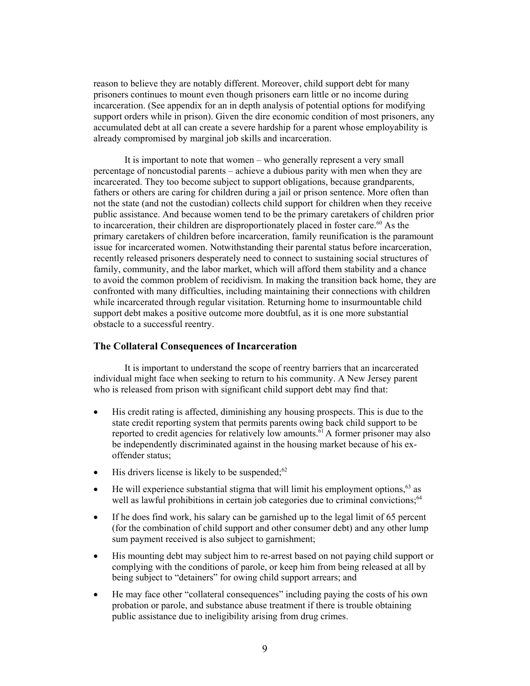reason to believe they are notably different. Moreover, child support debt for many prisoners continues to mount even though prisoners earn little or no income during incarceration. (See appendix for an in depth analysis of potential options for modifying support orders while in prison). Given the dire economic condition of most prisoners, any accumulated debt at all can create a severe hardship for a parent whose employability is already compromised by marginal job skills and incarceration.

It is important to note that women  $-$  who generally represent a very small percentage of noncustodial parents – achieve a dubious parity with men when they are incarcerated. They too become subject to support obligations, because grandparents, fathers or others are caring for children during a jail or prison sentence. More often than not the state (and not the custodian) collects child support for children when they receive public assistance. And because women tend to be the primary caretakers of children prior to incarceration, their children are disproportionately placed in foster care.<sup>60</sup> As the primary caretakers of children before incarceration, family reunification is the paramount issue for incarcerated women. Notwithstanding their parental status before incarceration, recently released prisoners desperately need to connect to sustaining social structures of family, community, and the labor market, which will afford them stability and a chance to avoid the common problem of recidivism. In making the transition back home, they are confronted with many difficulties, including maintaining their connections with children while incarcerated through regular visitation. Returning home to insurmountable child support debt makes a positive outcome more doubtful, as it is one more substantial obstacle to a successful reentry.

#### **The Collateral Consequences of Incarceration**

It is important to understand the scope of reentry barriers that an incarcerated individual might face when seeking to return to his community. A New Jersey parent who is released from prison with significant child support debt may find that:

- His credit rating is affected, diminishing any housing prospects. This is due to the state credit reporting system that permits parents owing back child support to be reported to credit agencies for relatively low amounts.<sup>61</sup> A former prisoner may also be independently discriminated against in the housing market because of his exoffender status;
- $\bullet$  His drivers license is likely to be suspended;<sup>62</sup>
- $\bullet$  He will experience substantial stigma that will limit his employment options,  $63$  as well as lawful prohibitions in certain job categories due to criminal convictions;<sup>64</sup>
- $\bullet$  If he does find work, his salary can be garnished up to the legal limit of 65 percent (for the combination of child support and other consumer debt) and any other lump sum payment received is also subject to garnishment;
- His mounting debt may subject him to re-arrest based on not paying child support or complying with the conditions of parole, or keep him from being released at all by being subject to "detainers" for owing child support arrears; and
- He may face other "collateral consequences" including paying the costs of his own probation or parole, and substance abuse treatment if there is trouble obtaining public assistance due to ineligibility arising from drug crimes.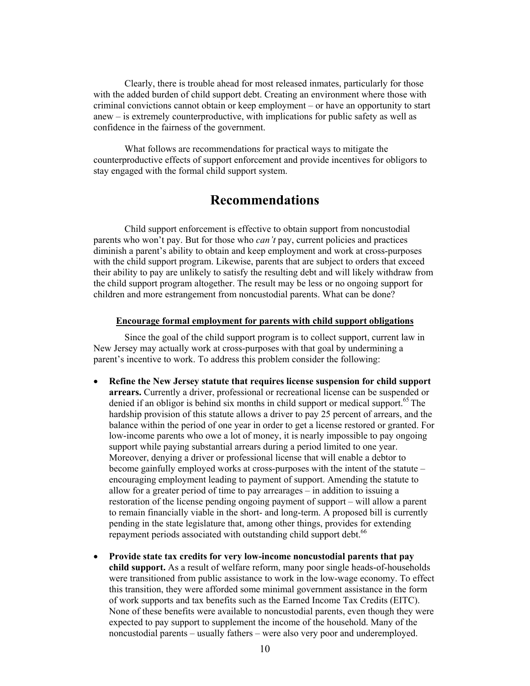Clearly, there is trouble ahead for most released inmates, particularly for those with the added burden of child support debt. Creating an environment where those with criminal convictions cannot obtain or keep employment – or have an opportunity to start anew  $-$  is extremely counterproductive, with implications for public safety as well as confidence in the fairness of the government.

<span id="page-15-0"></span>What follows are recommendations for practical ways to mitigate the counterproductive effects of support enforcement and provide incentives for obligors to stay engaged with the formal child support system.

### **Recommendations**

Child support enforcement is effective to obtain support from noncustodial parents who won't pay. But for those who *can't* pay, current policies and practices diminish a parent's ability to obtain and keep employment and work at cross-purposes with the child support program. Likewise, parents that are subject to orders that exceed their ability to pay are unlikely to satisfy the resulting debt and will likely withdraw from the child support program altogether. The result may be less or no ongoing support for children and more estrangement from noncustodial parents. What can be done?

#### **Encourage formal employment for parents with child support obligations**

Since the goal of the child support program is to collect support, current law in New Jersey may actually work at cross-purposes with that goal by undermining a parent's incentive to work. To address this problem consider the following:

- **Refine the New Jersey statute that requires license suspension for child support arrears.** Currently a driver, professional or recreational license can be suspended or denied if an obligor is behind six months in child support or medical support.<sup>65</sup> The hardship provision of this statute allows a driver to pay 25 percent of arrears, and the balance within the period of one year in order to get a license restored or granted. For low-income parents who owe a lot of money, it is nearly impossible to pay ongoing support while paying substantial arrears during a period limited to one year. Moreover, denying a driver or professional license that will enable a debtor to become gainfully employed works at cross-purposes with the intent of the statute  $$ encouraging employment leading to payment of support. Amending the statute to allow for a greater period of time to pay arrearages  $-$  in addition to issuing a restoration of the license pending ongoing payment of support – will allow a parent to remain financially viable in the short- and long-term. A proposed bill is currently pending in the state legislature that, among other things, provides for extending repayment periods associated with outstanding child support debt.<sup>[66](#page-28-62)</sup>
- Provide state tax credits for very low-income noncustodial parents that pay **child support.** As a result of welfare reform, many poor single heads-of-households were transitioned from public assistance to work in the low-wage economy. To effect this transition, they were afforded some minimal government assistance in the form of work supports and tax benefits such as the Earned Income Tax Credits (EITC). None of these benefits were available to noncustodial parents, even though they were expected to pay support to supplement the income of the household. Many of the noncustodial parents – usually fathers – were also very poor and underemployed.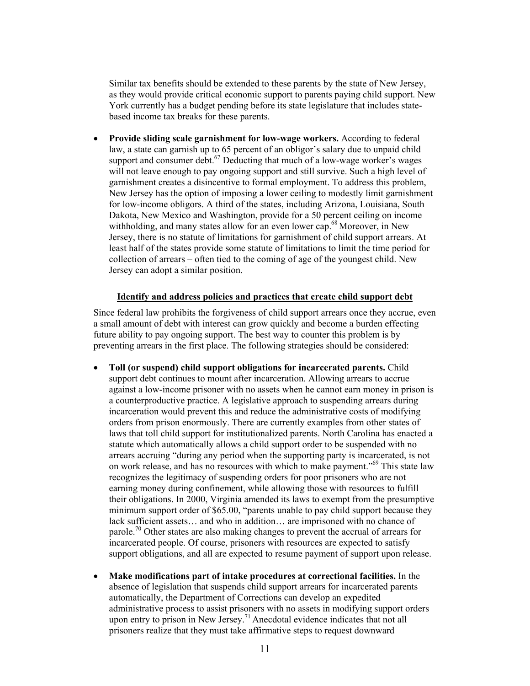Similar tax benefits should be extended to these parents by the state of New Jersey, as they would provide critical economic support to parents paying child support. New York currently has a budget pending before its state legislature that includes statebased income tax breaks for these parents.

**• Provide sliding scale garnishment for low-wage workers.** According to federal law, a state can garnish up to 65 percent of an obligor's salary due to unpaid child support and consumer debt.<sup>67</sup> Deducting that much of a low-wage worker's wages will not leave enough to pay ongoing support and still survive. Such a high level of garnishment creates a disincentive to formal employment. To address this problem, New Jersey has the option of imposing a lower ceiling to modestly limit garnishment for low-income obligors. A third of the states, including Arizona, Louisiana, South Dakota, New Mexico and Washington, provide for a 50 percent ceiling on income withholding, and many states allow for an even lower cap.<sup>68</sup> Moreover, in New Jersey, there is no statute of limitations for garnishment of child support arrears. At least half of the states provide some statute of limitations to limit the time period for collection of arrears – often tied to the coming of age of the youngest child. New Jersey can adopt a similar position.

#### **Identify and address policies and practices that create child support debt**

Since federal law prohibits the forgiveness of child support arrears once they accrue, even a small amount of debt with interest can grow quickly and become a burden effecting future ability to pay ongoing support. The best way to counter this problem is by preventing arrears in the first place. The following strategies should be considered:

- x **Toll (or suspend) child support obligations for incarcerated parents.** Child support debt continues to mount after incarceration. Allowing arrears to accrue against a low-income prisoner with no assets when he cannot earn money in prison is a counterproductive practice. A legislative approach to suspending arrears during incarceration would prevent this and reduce the administrative costs of modifying orders from prison enormously. There are currently examples from other states of laws that toll child support for institutionalized parents. North Carolina has enacted a statute which automatically allows a child support order to be suspended with no arrears accruing "during any period when the supporting party is incarcerated, is not on work release, and has no resources with which to make payment.<sup> $569$ </sup> This state law recognizes the legitimacy of suspending orders for poor prisoners who are not earning money during confinement, while allowing those with resources to fulfill their obligations. In 2000, Virginia amended its laws to exempt from the presumptive minimum support order of \$65.00, "parents unable to pay child support because they lack sufficient assets $\ldots$  and who in addition $\ldots$  are imprisoned with no chance of parole.<sup>70</sup> Other states are also making changes to prevent the accrual of arrears for incarcerated people. Of course, prisoners with resources are expected to satisfy support obligations, and all are expected to resume payment of support upon release.
- x **Make modifications part of intake procedures at correctional facilities.** In the absence of legislation that suspends child support arrears for incarcerated parents automatically, the Department of Corrections can develop an expedited administrative process to assist prisoners with no assets in modifying support orders upon entry to prison in New Jersey.<sup>71</sup> Anecdotal evidence indicates that not all prisoners realize that they must take affirmative steps to request downward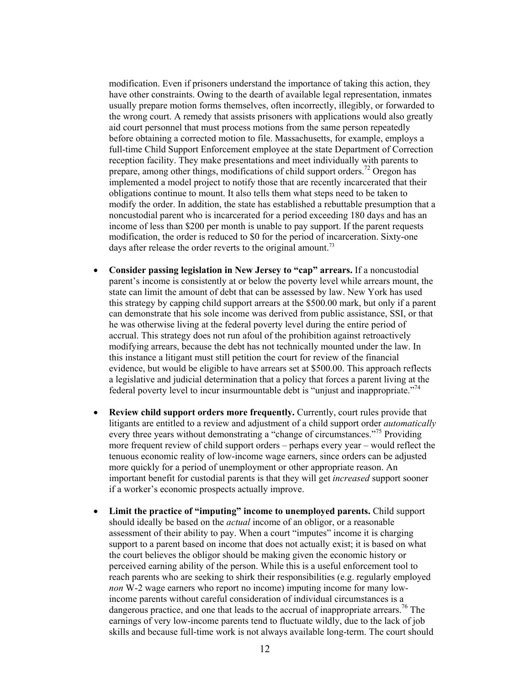modification. Even if prisoners understand the importance of taking this action, they have other constraints. Owing to the dearth of available legal representation, inmates usually prepare motion forms themselves, often incorrectly, illegibly, or forwarded to the wrong court. A remedy that assists prisoners with applications would also greatly aid court personnel that must process motions from the same person repeatedly before obtaining a corrected motion to file. Massachusetts, for example, employs a full-time Child Support Enforcement employee at the state Department of Correction reception facility. They make presentations and meet individually with parents to prepare, among other things, modifications of child support orders.<sup>72</sup> Oregon has implemented a model project to notify those that are recently incarcerated that their obligations continue to mount. It also tells them what steps need to be taken to modify the order. In addition, the state has established a rebuttable presumption that a noncustodial parent who is incarcerated for a period exceeding 180 days and has an income of less than \$200 per month is unable to pay support. If the parent requests modification, the order is reduced to \$0 for the period of incarceration. Sixty-one days after release the order reverts to the original amount.<sup>73</sup>

- Consider passing legislation in New Jersey to "cap" arrears. If a noncustodial parent's income is consistently at or below the poverty level while arrears mount, the state can limit the amount of debt that can be assessed by law. New York has used this strategy by capping child support arrears at the \$500.00 mark, but only if a parent can demonstrate that his sole income was derived from public assistance, SSI, or that he was otherwise living at the federal poverty level during the entire period of accrual. This strategy does not run afoul of the prohibition against retroactively modifying arrears, because the debt has not technically mounted under the law. In this instance a litigant must still petition the court for review of the financial evidence, but would be eligible to have arrears set at \$500.00. This approach reflects a legislative and judicial determination that a policy that forces a parent living at the federal poverty level to incur insurmountable debt is "unjust and inappropriate."<sup>[74](#page-28-26)</sup>
- **Review child support orders more frequently.** Currently, court rules provide that litigants are entitled to a review and adjustment of a child support order *automatically* every three years without demonstrating a "change of circumstances."<sup>75</sup> Providing more frequent review of child support orders – perhaps every year – would reflect the tenuous economic reality of low-income wage earners, since orders can be adjusted more quickly for a period of unemployment or other appropriate reason. An important benefit for custodial parents is that they will get *increased* support sooner if a worker's economic prospects actually improve.
- Limit the practice of "imputing" income to unemployed parents. Child support should ideally be based on the *actual* income of an obligor, or a reasonable assessment of their ability to pay. When a court "imputes" income it is charging support to a parent based on income that does not actually exist; it is based on what the court believes the obligor should be making given the economic history or perceived earning ability of the person. While this is a useful enforcement tool to reach parents who are seeking to shirk their responsibilities (e.g. regularly employed *non* W-2 wage earners who report no income) imputing income for many lowincome parents without careful consideration of individual circumstances is a dangerous practice, and one that leads to the accrual of inappropriate arrears.<sup>76</sup> The earnings of very low-income parents tend to fluctuate wildly, due to the lack of job skills and because full-time work is not always available long-term. The court should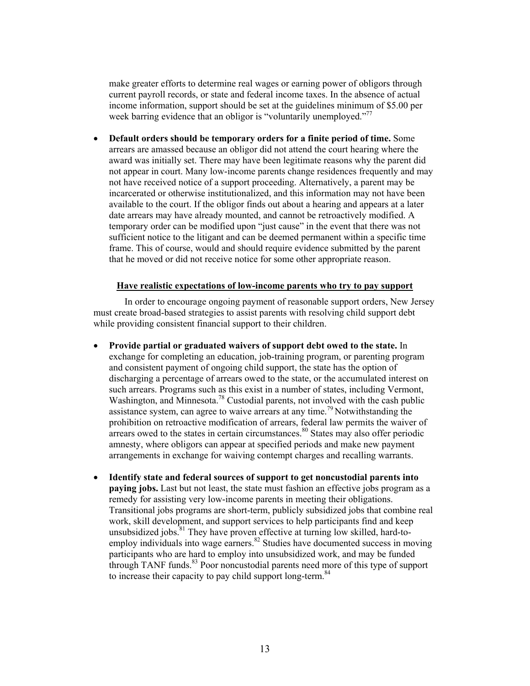make greater efforts to determine real wages or earning power of obligors through current payroll records, or state and federal income taxes. In the absence of actual income information, support should be set at the guidelines minimum of \$5.00 per week barring evidence that an obligor is "voluntarily unemployed."<sup>77</sup>

**•** Default orders should be temporary orders for a finite period of time. Some arrears are amassed because an obligor did not attend the court hearing where the award was initially set. There may have been legitimate reasons why the parent did not appear in court. Many low-income parents change residences frequently and may not have received notice of a support proceeding. Alternatively, a parent may be incarcerated or otherwise institutionalized, and this information may not have been available to the court. If the obligor finds out about a hearing and appears at a later date arrears may have already mounted, and cannot be retroactively modified. A temporary order can be modified upon "just cause" in the event that there was not sufficient notice to the litigant and can be deemed permanent within a specific time frame. This of course, would and should require evidence submitted by the parent that he moved or did not receive notice for some other appropriate reason.

#### **Have realistic expectations of low-income parents who try to pay support**

In order to encourage ongoing payment of reasonable support orders, New Jersey must create broad-based strategies to assist parents with resolving child support debt while providing consistent financial support to their children.

- x **Provide partial or graduated waivers of support debt owed to the state.** In exchange for completing an education, job-training program, or parenting program and consistent payment of ongoing child support, the state has the option of discharging a percentage of arrears owed to the state, or the accumulated interest on such arrears. Programs such as this exist in a number of states, including Vermont, Washington, and Minnesota.<sup>78</sup> Custodial parents, not involved with the cash public assistance system, can agree to waive arrears at any time.<sup>79</sup> Notwithstanding the prohibition on retroactive modification of arrears, federal law permits the waiver of arrears owed to the states in certain circumstances.<sup>80</sup> States may also offer periodic amnesty, where obligors can appear at specified periods and make new payment arrangements in exchange for waiving contempt charges and recalling warrants.
- x **Identify state and federal sources of support to get noncustodial parents into paying jobs.** Last but not least, the state must fashion an effective jobs program as a remedy for assisting very low-income parents in meeting their obligations. Transitional jobs programs are short-term, publicly subsidized jobs that combine real work, skill development, and support services to help participants find and keep unsubsidized jobs. $81$  They have proven effective at turning low skilled, hard-toemploy individuals into wage earners. $82$  Studies have documented success in moving participants who are hard to employ into unsubsidized work, and may be funded through TANF funds.<sup>83</sup> Poor noncustodial parents need more of this type of support to increase their capacity to pay child support long-term.<sup>[84](#page-28-76)</sup>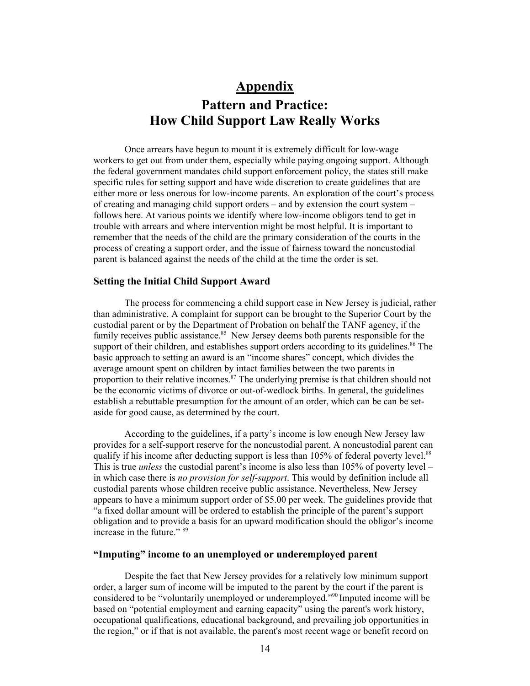# **Appendix Pattern and Practice: How Child Support Law Really Works**

<span id="page-19-0"></span>Once arrears have begun to mount it is extremely difficult for low-wage workers to get out from under them, especially while paying ongoing support. Although the federal government mandates child support enforcement policy, the states still make specific rules for setting support and have wide discretion to create guidelines that are either more or less onerous for low-income parents. An exploration of the court's process of creating and managing child support orders  $-$  and by extension the court system  $$ follows here. At various points we identify where low-income obligors tend to get in trouble with arrears and where intervention might be most helpful. It is important to remember that the needs of the child are the primary consideration of the courts in the process of creating a support order, and the issue of fairness toward the noncustodial parent is balanced against the needs of the child at the time the order is set.

#### **Setting the Initial Child Support Award**

The process for commencing a child support case in New Jersey is judicial, rather than administrative. A complaint for support can be brought to the Superior Court by the custodial parent or by the Department of Probation on behalf the TANF agency, if the family receives public assistance.<sup>85</sup> New Jersey deems both parents responsible for the support of their children, and establishes support orders according to its guidelines.<sup>86</sup> The basic approach to setting an award is an "income shares" concept, which divides the average amount spent on children by intact families between the two parents in proportion to their relative incomes.<sup>87</sup> The underlying premise is that children should not be the economic victims of divorce or out-of-wedlock births. In general, the guidelines establish a rebuttable presumption for the amount of an order, which can be can be setaside for good cause, as determined by the court.

According to the guidelines, if a party's income is low enough New Jersey law provides for a self-support reserve for the noncustodial parent. A noncustodial parent can qualify if his income after deducting support is less than  $105\%$  of federal poverty level.<sup>88</sup> This is true *unless* the custodial parent's income is also less than  $105\%$  of poverty level – in which case there is *no provision for self-support*. This would by definition include all custodial parents whose children receive public assistance. Nevertheless, New Jersey appears to have a minimum support order of \$5.00 per week. The guidelines provide that "a fixed dollar amount will be ordered to establish the principle of the parent's support obligation and to provide a basis for an upward modification should the obligor's income increase in the future."  $89$ 

#### "Imputing" income to an unemployed or underemployed parent

Despite the fact that New Jersey provides for a relatively low minimum support order, a larger sum of income will be imputed to the parent by the court if the parent is considered to be "voluntarily unemployed or underemployed."<sup>90</sup> Imputed income will be based on "potential employment and earning capacity" using the parent's work history, occupational qualifications, educational background, and prevailing job opportunities in the region," or if that is not available, the parent's most recent wage or benefit record on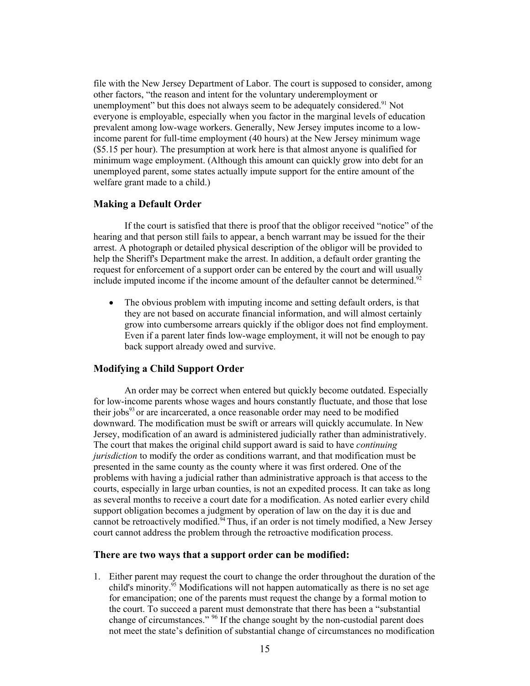file with the New Jersey Department of Labor. The court is supposed to consider, among other factors, "the reason and intent for the voluntary underemployment or unemployment" but this does not always seem to be adequately considered.<sup>91</sup> Not everyone is employable, especially when you factor in the marginal levels of education prevalent among low-wage workers. Generally, New Jersey imputes income to a lowincome parent for full-time employment (40 hours) at the New Jersey minimum wage (\$5.15 per hour). The presumption at work here is that almost anyone is qualified for minimum wage employment. (Although this amount can quickly grow into debt for an unemployed parent, some states actually impute support for the entire amount of the welfare grant made to a child.)

#### **Making a Default Order**

If the court is satisfied that there is proof that the obligor received "notice" of the hearing and that person still fails to appear, a bench warrant may be issued for the their arrest. A photograph or detailed physical description of the obligor will be provided to help the Sheriff's Department make the arrest. In addition, a default order granting the request for enforcement of a support order can be entered by the court and will usually include imputed income if the income amount of the defaulter cannot be determined.<sup>[92](#page-28-83)</sup>

• The obvious problem with imputing income and setting default orders, is that they are not based on accurate financial information, and will almost certainly grow into cumbersome arrears quickly if the obligor does not find employment. Even if a parent later finds low-wage employment, it will not be enough to pay back support already owed and survive.

#### **Modifying a Child Support Order**

An order may be correct when entered but quickly become outdated. Especially for low-income parents whose wages and hours constantly fluctuate, and those that lose their jobs<sup>93</sup> or are incarcerated, a once reasonable order may need to be modified downward. The modification must be swift or arrears will quickly accumulate. In New Jersey, modification of an award is administered judicially rather than administratively. The court that makes the original child support award is said to have *continuing jurisdiction* to modify the order as conditions warrant, and that modification must be presented in the same county as the county where it was first ordered. One of the problems with having a judicial rather than administrative approach is that access to the courts, especially in large urban counties, is not an expedited process. It can take as long as several months to receive a court date for a modification. As noted earlier every child support obligation becomes a judgment by operation of law on the day it is due and cannot be retroactively modified.<sup>94</sup> Thus, if an order is not timely modified, a New Jersey court cannot address the problem through the retroactive modification process.

#### **There are two ways that a support order can be modified:**

1. Either parent may request the court to change the order throughout the duration of the child's minority.<sup>95</sup> Modifications will not happen automatically as there is no set age for emancipation; one of the parents must request the change by a formal motion to the court. To succeed a parent must demonstrate that there has been a "substantial change of circumstances."  $96$  If the change sought by the non-custodial parent does not meet the state's definition of substantial change of circumstances no modification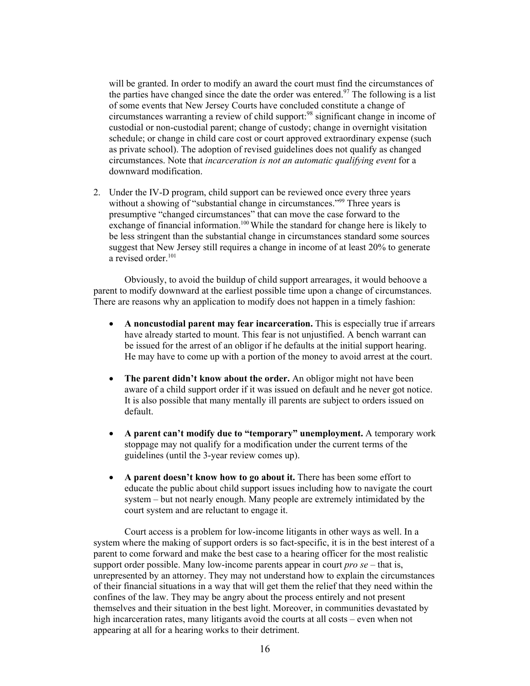will be granted. In order to modify an award the court must find the circumstances of the parties have changed since the date the order was entered.<sup>97</sup> The following is a list of some events that New Jersey Courts have concluded constitute a change of circumstances warranting a review of child support:[98](#page-28-88) significant change in income of custodial or non-custodial parent; change of custody; change in overnight visitation schedule; or change in child care cost or court approved extraordinary expense (such as private school). The adoption of revised guidelines does not qualify as changed circumstances. Note that *incarceration is not an automatic qualifying event* for a downward modification.

2. Under the IV-D program, child support can be reviewed once every three years without a showing of "substantial change in circumstances."<sup>99</sup> Three years is presumptive "changed circumstances" that can move the case forward to the exchange of financial information.<sup>100</sup> While the standard for change here is likely to be less stringent than the substantial change in circumstances standard some sources suggest that New Jersey still requires a change in income of at least 20% to generate a revised order.<sup>101</sup>

Obviously, to avoid the buildup of child support arrearages, it would behoove a parent to modify downward at the earliest possible time upon a change of circumstances. There are reasons why an application to modify does not happen in a timely fashion:

- x **A noncustodial parent may fear incarceration.** This is especially true if arrears have already started to mount. This fear is not unjustified. A bench warrant can be issued for the arrest of an obligor if he defaults at the initial support hearing. He may have to come up with a portion of the money to avoid arrest at the court.
- The parent didn't know about the order. An obligor might not have been aware of a child support order if it was issued on default and he never got notice. It is also possible that many mentally ill parents are subject to orders issued on default.
- A parent can't modify due to "temporary" unemployment. A temporary work stoppage may not qualify for a modification under the current terms of the guidelines (until the 3-year review comes up).
- A parent doesn't know how to go about it. There has been some effort to educate the public about child support issues including how to navigate the court system – but not nearly enough. Many people are extremely intimidated by the court system and are reluctant to engage it.

Court access is a problem for low-income litigants in other ways as well. In a system where the making of support orders is so fact-specific, it is in the best interest of a parent to come forward and make the best case to a hearing officer for the most realistic support order possible. Many low-income parents appear in court  $pro \, se$  – that is, unrepresented by an attorney. They may not understand how to explain the circumstances of their financial situations in a way that will get them the relief that they need within the confines of the law. They may be angry about the process entirely and not present themselves and their situation in the best light. Moreover, in communities devastated by high incarceration rates, many litigants avoid the courts at all costs – even when not appearing at all for a hearing works to their detriment.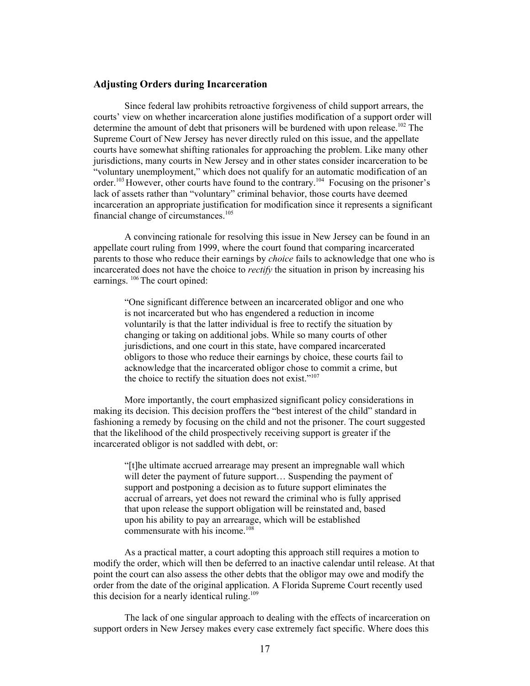#### **Adjusting Orders during Incarceration**

Since federal law prohibits retroactive forgiveness of child support arrears, the courts' view on whether incarceration alone justifies modification of a support order will determine the amount of debt that prisoners will be burdened with upon release.<sup>102</sup> The Supreme Court of New Jersey has never directly ruled on this issue, and the appellate courts have somewhat shifting rationales for approaching the problem. Like many other jurisdictions, many courts in New Jersey and in other states consider incarceration to be "voluntary unemployment," which does not qualify for an automatic modification of an order.<sup>103</sup> However, other courts have found to the contrary.<sup>104</sup> Focusing on the prisoner's lack of assets rather than "voluntary" criminal behavior, those courts have deemed incarceration an appropriate justification for modification since it represents a significant financial change of circumstances.<sup>105</sup>

A convincing rationale for resolving this issue in New Jersey can be found in an appellate court ruling from 1999, where the court found that comparing incarcerated parents to those who reduce their earnings by *choice* fails to acknowledge that one who is incarcerated does not have the choice to *rectify* the situation in prison by increasing his earnings. [106 T](#page-28-96)he court opined:

jOne significant difference between an incarcerated obligor and one who is not incarcerated but who has engendered a reduction in income voluntarily is that the latter individual is free to rectify the situation by changing or taking on additional jobs. While so many courts of other jurisdictions, and one court in this state, have compared incarcerated obligors to those who reduce their earnings by choice, these courts fail to acknowledge that the incarcerated obligor chose to commit a crime, but the choice to rectify the situation does not exist. $i^{107}$ 

More importantly, the court emphasized significant policy considerations in making its decision. This decision proffers the "best interest of the child" standard in fashioning a remedy by focusing on the child and not the prisoner. The court suggested that the likelihood of the child prospectively receiving support is greater if the incarcerated obligor is not saddled with debt, or:

"[t]he ultimate accrued arrearage may present an impregnable wall which will deter the payment of future support... Suspending the payment of support and postponing a decision as to future support eliminates the accrual of arrears, yet does not reward the criminal who is fully apprised that upon release the support obligation will be reinstated and, based upon his ability to pay an arrearage, which will be established commensurate with his income.<sup>[108](#page-28-98)</sup>

As a practical matter, a court adopting this approach still requires a motion to modify the order, which will then be deferred to an inactive calendar until release. At that point the court can also assess the other debts that the obligor may owe and modify the order from the date of the original application. A Florida Supreme Court recently used this decision for a nearly identical ruling.<sup>109</sup>

The lack of one singular approach to dealing with the effects of incarceration on support orders in New Jersey makes every case extremely fact specific. Where does this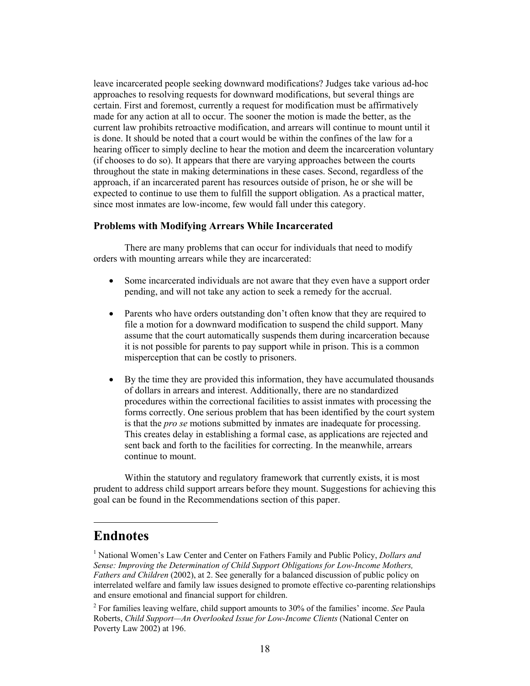leave incarcerated people seeking downward modifications? Judges take various ad-hoc approaches to resolving requests for downward modifications, but several things are certain. First and foremost, currently a request for modification must be affirmatively made for any action at all to occur. The sooner the motion is made the better, as the current law prohibits retroactive modification, and arrears will continue to mount until it is done. It should be noted that a court would be within the confines of the law for a hearing officer to simply decline to hear the motion and deem the incarceration voluntary (if chooses to do so). It appears that there are varying approaches between the courts throughout the state in making determinations in these cases. Second, regardless of the approach, if an incarcerated parent has resources outside of prison, he or she will be expected to continue to use them to fulfill the support obligation. As a practical matter, since most inmates are low-income, few would fall under this category.

#### <span id="page-23-0"></span>**Problems with Modifying Arrears While Incarcerated**

There are many problems that can occur for individuals that need to modify orders with mounting arrears while they are incarcerated:

- Some incarcerated individuals are not aware that they even have a support order pending, and will not take any action to seek a remedy for the accrual.
- Parents who have orders outstanding don't often know that they are required to file a motion for a downward modification to suspend the child support. Many assume that the court automatically suspends them during incarceration because it is not possible for parents to pay support while in prison. This is a common misperception that can be costly to prisoners.
- x By the time they are provided this information, they have accumulated thousands of dollars in arrears and interest. Additionally, there are no standardized procedures within the correctional facilities to assist inmates with processing the forms correctly. One serious problem that has been identified by the court system is that the *pro se* motions submitted by inmates are inadequate for processing. This creates delay in establishing a formal case, as applications are rejected and sent back and forth to the facilities for correcting. In the meanwhile, arrears continue to mount.

Within the statutory and regulatory framework that currently exists, it is most prudent to address child support arrears before they mount. Suggestions for achieving this goal can be found in the Recommendations section of this paper.

### **Endnotes**

 $\overline{a}$ 

<sup>&</sup>lt;sup>1</sup> National Women's Law Center and Center on Fathers Family and Public Policy, *Dollars and Sense: Improving the Determination of Child Support Obligations for Low-Income Mothers, Fathers and Children* (2002), at 2. See generally for a balanced discussion of public policy on interrelated welfare and family law issues designed to promote effective co-parenting relationships and ensure emotional and financial support for children.

<sup>&</sup>lt;sup>2</sup> For families leaving welfare, child support amounts to 30% of the families' income. *See* Paula Roberts, *Child Support-An Overlooked Issue for Low-Income Clients* (National Center on Poverty Law 2002) at 196.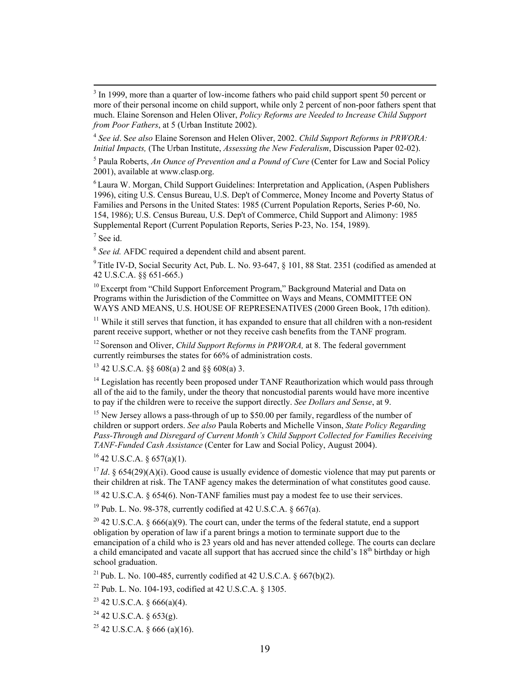3  $3$  In 1999, more than a quarter of low-income fathers who paid child support spent 50 percent or more of their personal income on child support, while only 2 percent of non-poor fathers spent that much. Elaine Sorenson and Helen Oliver, *Policy Reforms are Needed to Increase Child Support from Poor Fathers*, at 5 (Urban Institute 2002).

<sup>4</sup> *See id*. S*ee also* Elaine Sorenson and Helen Oliver, 2002. *Child Support Reforms in PRWORA: Initial Impacts,* (The Urban Institute, *Assessing the New Federalism*, Discussion Paper 02-02).

5 Paula Roberts, *An Ounce of Prevention and a Pound of Cure* (Center for Law and Social Policy 2001), available at w[ww.clasp.org](http://www.clasp.org/).

6 Laura W. Morgan, Child Support Guidelines: Interpretation and Application, (Aspen Publishers 1996), citing U.S. Census Bureau, U.S. Dep't of Commerce, Money Income and Poverty Status of Families and Persons in the United States: 1985 (Current Population Reports, Series P-60, No. 154, 1986); U.S. Census Bureau, U.S. Dep't of Commerce, Child Support and Alimony: 1985 Supplemental Report (Current Population Reports, Series P-23, No. 154, 1989).

 $7$  See id.

<sup>8</sup> *See id.* AFDC required a dependent child and absent parent.

<sup>9</sup> Title IV-D, Social Security Act, Pub. L. No. 93-647, § 101, 88 Stat. 2351 (codified as amended at 42 U.S.C.A. §§ 651-665.)

<sup>10</sup> Excerpt from "Child Support Enforcement Program," Background Material and Data on Programs within the Jurisdiction of the Committee on Ways and Means, COMMITTEE ON WAYS AND MEANS, U.S. HOUSE OF REPRESENATIVES (2000 Green Book, 17th edition).

 $11$  While it still serves that function, it has expanded to ensure that all children with a non-resident parent receive support, whether or not they receive cash benefits from the TANF program.

<sup>12</sup> Sorenson and Oliver, *Child Support Reforms in PRWORA*, at 8. The federal government currently reimburses the states for 66% of administration costs.

 $13$  42 U.S.C.A. §§ 608(a) 2 and §§ 608(a) 3.

<sup>14</sup> Legislation has recently been proposed under TANF Reauthorization which would pass through all of the aid to the family, under the theory that noncustodial parents would have more incentive to pay if the children were to receive the support directly. *See Dollars and Sense*, at 9.

<sup>15</sup> New Jersey allows a pass-through of up to \$50.00 per family, regardless of the number of children or support orders. *See also* Paula Roberts and Michelle Vinson, *State Policy Regarding*  Pass-Through and Disregard of Current Month's Child Support Collected for Families Receiving *TANF-Funded Cash Assistance* (Center for Law and Social Policy, August 2004).

 $16$  42 U.S.C.A. § 657(a)(1).

<sup>17</sup>*Id*. § 654(29)(A)(i). Good cause is usually evidence of domestic violence that may put parents or their children at risk. The TANF agency makes the determination of what constitutes good cause.

 $18$  42 U.S.C.A. § 654(6). Non-TANF families must pay a modest fee to use their services.

<sup>19</sup> Pub. L. No. 98-378, currently codified at 42 U.S.C.A.  $\S$  667(a).

<sup>20</sup> 42 U.S.C.A. § 666(a)(9). The court can, under the terms of the federal statute, end a support obligation by operation of law if a parent brings a motion to terminate support due to the emancipation of a child who is 23 years old and has never attended college. The courts can declare a child emancipated and vacate all support that has accrued since the child's  $18<sup>th</sup>$  birthday or high school graduation.

<sup>21</sup> Pub. L. No. 100-485, currently codified at 42 U.S.C.A. § 667(b)(2).

22 Pub. L. No. 104-193, codified at 42 U.S.C.A. § 1305.

 $23$  42 U.S.C.A. § 666(a)(4).

 $24$  42 U.S.C.A. § 653(g).

 $25$  42 U.S.C.A. § 666 (a)(16).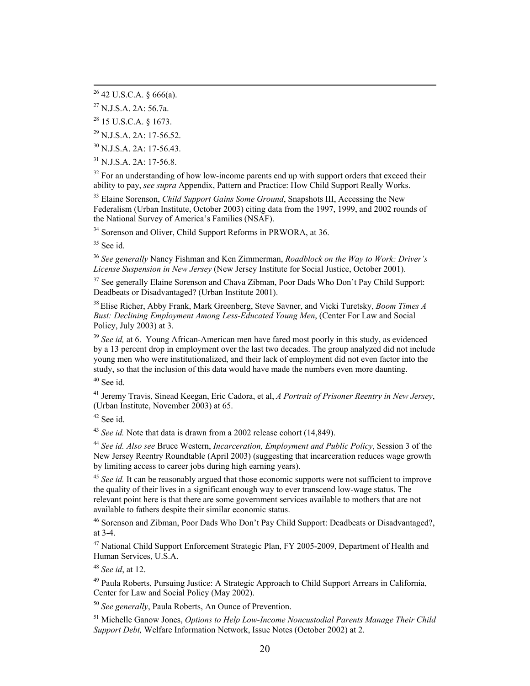29 N.J.S.A. 2A: 17-56.52.

30 N.J.S.A. 2A: 17-56.43.

 $31$  N.J.S.A. 2A: 17-56.8.

<sup>32</sup> For an understanding of how low-income parents end up with support orders that exceed their ability to pay, *see supra* Appendix, Pattern and Practice: How Child Support Really Works.

33 Elaine Sorenson, *Child Support Gains Some Ground*, Snapshots III, Accessing the New Federalism (Urban Institute, October 2003) citing data from the 1997, 1999, and 2002 rounds of the National Survey of America's Families (NSAF).

<sup>34</sup> Sorenson and Oliver, Child Support Reforms in PRWORA, at 36.

<sup>35</sup> See id.

<sup>36</sup> *See generally* Nancy Fishman and Ken Zimmerman, *Roadblock on the Way to Work: Driver;s License Suspension in New Jersey* (New Jersey Institute for Social Justice, October 2001).

 $37$  See generally Elaine Sorenson and Chava Zibman, Poor Dads Who Don't Pay Child Support: Deadbeats or Disadvantaged? (Urban Institute 2001).

38 Elise Richer, Abby Frank, Mark Greenberg, Steve Savner, and Vicki Turetsky, *Boom Times A Bust: Declining Employment Among Less-Educated Young Men*, (Center For Law and Social Policy, July 2003) at 3.

<sup>39</sup> See id, at 6. Young African-American men have fared most poorly in this study, as evidenced by a 13 percent drop in employment over the last two decades. The group analyzed did not include young men who were institutionalized, and their lack of employment did not even factor into the study, so that the inclusion of this data would have made the numbers even more daunting.

 $40$  See id.

41 Jeremy Travis, Sinead Keegan, Eric Cadora, et al, *A Portrait of Prisoner Reentry in New Jersey*, (Urban Institute, November 2003) at 65.

 $42$  See id.

<sup>43</sup> *See id.* Note that data is drawn from a 2002 release cohort (14,849).

<sup>44</sup> *See id. Also see* Bruce Western, *Incarceration, Employment and Public Policy*, Session 3 of the New Jersey Reentry Roundtable (April 2003) (suggesting that incarceration reduces wage growth by limiting access to career jobs during high earning years).

<sup>45</sup> See id. It can be reasonably argued that those economic supports were not sufficient to improve the quality of their lives in a significant enough way to ever transcend low-wage status. The relevant point here is that there are some government services available to mothers that are not available to fathers despite their similar economic status.

<sup>46</sup> Sorenson and Zibman, Poor Dads Who Don't Pay Child Support: Deadbeats or Disadvantaged?, at 3-4.

<sup>47</sup> National Child Support Enforcement Strategic Plan, FY 2005-2009, Department of Health and Human Services, U.S.A.

<sup>48</sup> *See id*, at 12.

<sup>49</sup> Paula Roberts, Pursuing Justice: A Strategic Approach to Child Support Arrears in California, Center for Law and Social Policy (May 2002).

<sup>50</sup> *See generally*, Paula Roberts, An Ounce of Prevention.

51 Michelle Ganow Jones, *Options to Help Low-Income Noncustodial Parents Manage Their Child Support Debt,* Welfare Information Network, Issue Notes (October 2002) at 2.

 $26$  42 U.S.C.A. § 666(a).

 $^{27}$  N.J.S.A. 2A: 56.7a.

<sup>28 15</sup> U.S.C.A. § 1673.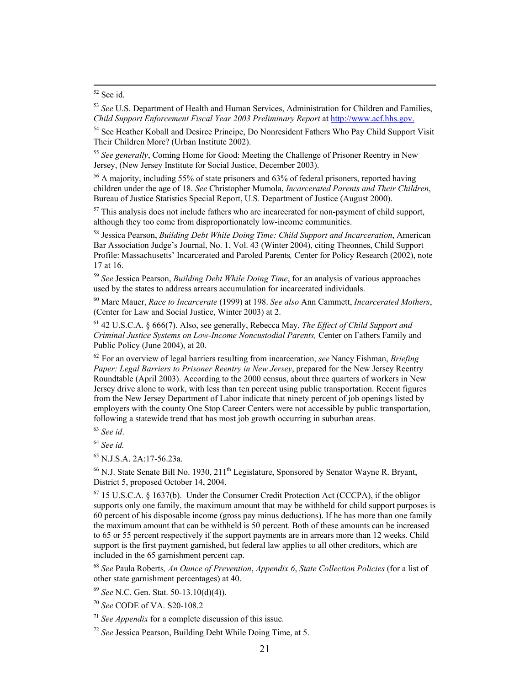<sup>53</sup> *See* U.S. Department of Health and Human Services, Administration for Children and Families, *Child Support Enforcement Fiscal Year 2003 Preliminary Report* at [http://www.acf.hhs.gov.](http://www.acf.hhs.gov./)

<sup>54</sup> See Heather Koball and Desiree Principe, Do Nonresident Fathers Who Pay Child Support Visit Their Children More? (Urban Institute 2002).

<sup>55</sup> *See generally*, Coming Home for Good: Meeting the Challenge of Prisoner Reentry in New Jersey, (New Jersey Institute for Social Justice, December 2003).

 $56$  A majority, including 55% of state prisoners and 63% of federal prisoners, reported having children under the age of 18. *See* Christopher Mumola, *Incarcerated Parents and Their Children*, Bureau of Justice Statistics Special Report, U.S. Department of Justice (August 2000).

 $57$  This analysis does not include fathers who are incarcerated for non-payment of child support, although they too come from disproportionately low-income communities.

58 Jessica Pearson, *Building Debt While Doing Time: Child Support and Incarceration*, American Bar Association Judge's Journal, No. 1, Vol. 43 (Winter 2004), citing Theonnes, Child Support Profile: Massachusetts' Incarcerated and Paroled Parents, Center for Policy Research (2002), note 17 at 16.

<sup>59</sup> *See* Jessica Pearson, *Building Debt While Doing Time*, for an analysis of various approaches used by the states to address arrears accumulation for incarcerated individuals.

60 Marc Mauer, *Race to Incarcerate* (1999) at 198. *See also* Ann Cammett, *Incarcerated Mothers*, (Center for Law and Social Justice, Winter 2003) at 2.

61 42 U.S.C.A. § 666(7). Also, see generally, Rebecca May, *The Effect of Child Support and Criminal Justice Systems on Low-Income Noncustodial Parents,* Center on Fathers Family and Public Policy (June 2004), at 20.

<sup>62</sup> For an overview of legal barriers resulting from incarceration, *see* Nancy Fishman, *Briefing Paper: Legal Barriers to Prisoner Reentry in New Jersey*, prepared for the New Jersey Reentry Roundtable (April 2003). According to the 2000 census, about three quarters of workers in New Jersey drive alone to work, with less than ten percent using public transportation. Recent figures from the New Jersey Department of Labor indicate that ninety percent of job openings listed by employers with the county One Stop Career Centers were not accessible by public transportation, following a statewide trend that has most job growth occurring in suburban areas.

<sup>63</sup> *See id*.

<sup>64</sup> *See id.*

65 N.J.S.A. 2A:17-56.23a.

 $^{66}$  N.J. State Senate Bill No. 1930, 211<sup>th</sup> Legislature, Sponsored by Senator Wayne R. Brvant. District 5, proposed October 14, 2004.

 $67$  15 U.S.C.A. § 1637(b). Under the Consumer Credit Protection Act (CCCPA), if the obligor supports only one family, the maximum amount that may be withheld for child support purposes is 60 percent of his disposable income (gross pay minus deductions). If he has more than one family the maximum amount that can be withheld is 50 percent. Both of these amounts can be increased to 65 or 55 percent respectively if the support payments are in arrears more than 12 weeks. Child support is the first payment garnished, but federal law applies to all other creditors, which are included in the 65 garnishment percent cap.

<sup>68</sup> *See* Paula Roberts*, An Ounce of Prevention*, *Appendix 6*, *State Collection Policies* (for a list of other state garnishment percentages) at 40.

<sup>69</sup> *See* N.C. Gen. Stat. 50-13.10(d)(4)).

<sup>70</sup> *See* CODE of VA. S20-108.2

<sup>71</sup> *See Appendix* for a complete discussion of this issue.

<sup>72</sup> *See* Jessica Pearson, Building Debt While Doing Time, at 5.

 <sup>52</sup> See id.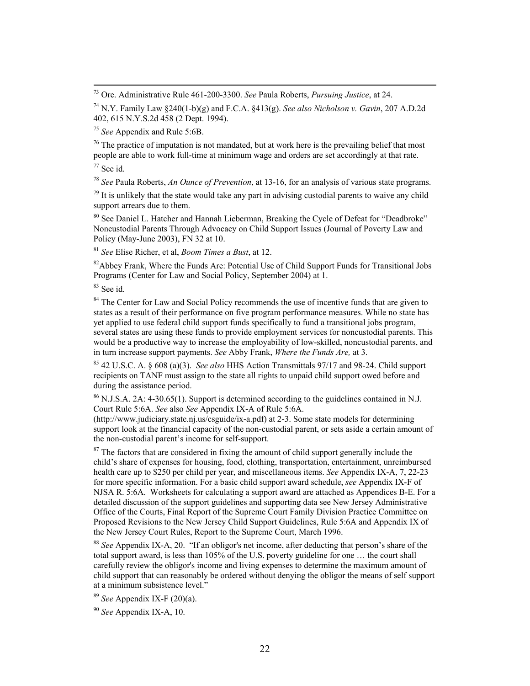73 Ore. Administrative Rule 461-200-3300. *See* Paula Roberts, *Pursuing Justice*, at 24.

74 N.Y. Family Law §240(1-b)(g) and F.C.A. §413(g). *See also Nicholson v. Gavin*, 207 A.D.2d 402, 615 N.Y.S.2d 458 (2 Dept. 1994).

<sup>75</sup> *See* Appendix and Rule 5:6B.

 $76$  The practice of imputation is not mandated, but at work here is the prevailing belief that most people are able to work full-time at minimum wage and orders are set accordingly at that rate.

 $77$  See id.

<sup>78</sup> *See* Paula Roberts, *An Ounce of Prevention*, at 13-16, for an analysis of various state programs.

 $79$  It is unlikely that the state would take any part in advising custodial parents to waive any child support arrears due to them.

 $80$  See Daniel L. Hatcher and Hannah Lieberman, Breaking the Cycle of Defeat for "Deadbroke" Noncustodial Parents Through Advocacy on Child Support Issues (Journal of Poverty Law and Policy (May-June 2003), FN 32 at 10.

<sup>81</sup> *See* Elise Richer, et al, *Boom Times a Bust*, at 12.

<sup>82</sup>Abbey Frank, Where the Funds Are: Potential Use of Child Support Funds for Transitional Jobs Programs (Center for Law and Social Policy, September 2004) at 1.

 $83$  See id.

<sup>84</sup> The Center for Law and Social Policy recommends the use of incentive funds that are given to states as a result of their performance on five program performance measures. While no state has yet applied to use federal child support funds specifically to fund a transitional jobs program, several states are using these funds to provide employment services for noncustodial parents. This would be a productive way to increase the employability of low-skilled, noncustodial parents, and in turn increase support payments. *See* Abby Frank, *Where the Funds Are,* at 3.

85 42 U.S.C. A. § 608 (a)(3). *See also* HHS Action Transmittals 97/17 and 98-24. Child support recipients on TANF must assign to the state all rights to unpaid child support owed before and during the assistance period.

86 N.J.S.A. 2A: 4-30.65(1). Support is determined according to the guidelines contained in N.J. Court Rule 5:6A. *See* also *See* Appendix IX-A of Rule 5:6A.

[\(http://www.judiciary.state.nj.us/csguide/ix-a.pdf\)](http://www.judiciary.state.nj.us/csguide/ix-a.pdf) at 2-3. Some state models for determining support look at the financial capacity of the non-custodial parent, or sets aside a certain amount of the non-custodial parent's income for self-support.

 $87$  The factors that are considered in fixing the amount of child support generally include the child's share of expenses for housing, food, clothing, transportation, entertainment, unreimbursed health care up to \$250 per child per year, and miscellaneous items. *See* Appendix IX-A, 7, 22-23 for more specific information. For a basic child support award schedule, *see* Appendix IX-F of NJSA R. 5:6A. Worksheets for calculating a support award are attached as Appendices B-E. For a detailed discussion of the support guidelines and supporting data see New Jersey Administrative Office of the Courts, Final Report of the Supreme Court Family Division Practice Committee on Proposed Revisions to the New Jersey Child Support Guidelines, Rule 5:6A and Appendix IX of the New Jersey Court Rules, Report to the Supreme Court, March 1996.

<sup>88</sup> See Appendix IX-A, 20. "If an obligor's net income, after deducting that person's share of the total support award, is less than  $105\%$  of the U.S. poverty guideline for one  $\ldots$  the court shall carefully review the obligor's income and living expenses to determine the maximum amount of child support that can reasonably be ordered without denying the obligor the means of self support at a minimum subsistence level."

<sup>89</sup> *See* Appendix IX-F (20)(a).

<sup>90</sup> *See* Appendix IX-A, 10.